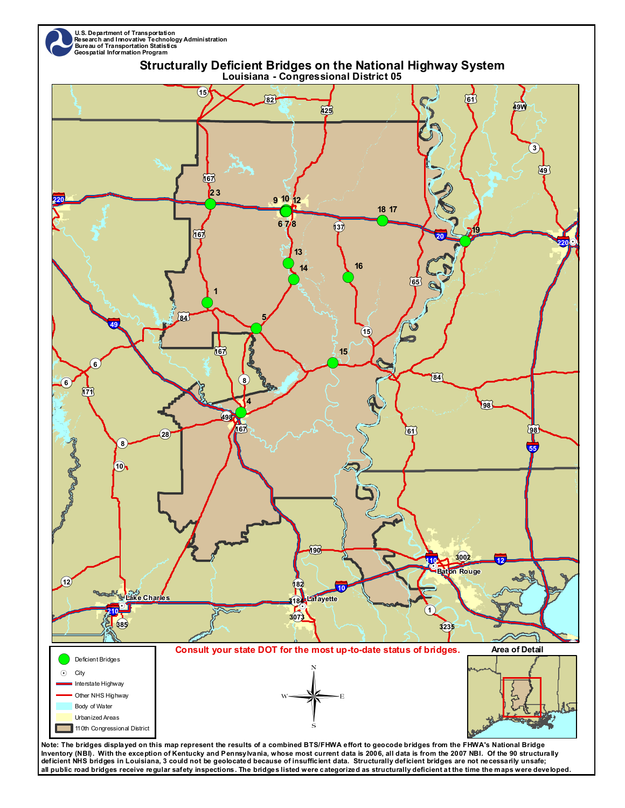